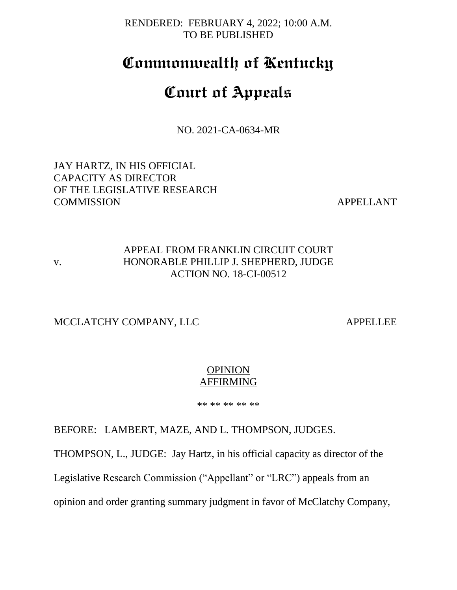RENDERED: FEBRUARY 4, 2022; 10:00 A.M. TO BE PUBLISHED

# **Commonwealth of Kentucky**

# **Court of Appeals**

NO. 2021-CA-0634-MR

JAY HARTZ, IN HIS OFFICIAL CAPACITY AS DIRECTOR OF THE LEGISLATIVE RESEARCH COMMISSION APPELLANT

## APPEAL FROM FRANKLIN CIRCUIT COURT v. HONORABLE PHILLIP J. SHEPHERD, JUDGE ACTION NO. 18-CI-00512

MCCLATCHY COMPANY, LLC APPELLEE

## OPINION AFFIRMING

\*\* \*\* \*\* \*\* \*\*

BEFORE: LAMBERT, MAZE, AND L. THOMPSON, JUDGES.

THOMPSON, L., JUDGE: Jay Hartz, in his official capacity as director of the

Legislative Research Commission ("Appellant" or "LRC") appeals from an

opinion and order granting summary judgment in favor of McClatchy Company,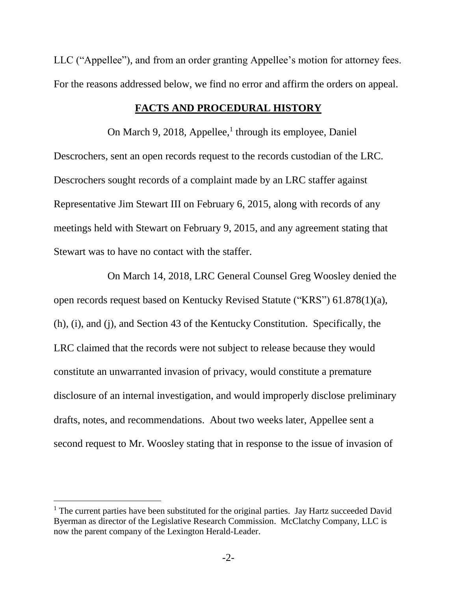LLC ("Appellee"), and from an order granting Appellee's motion for attorney fees. For the reasons addressed below, we find no error and affirm the orders on appeal.

### **FACTS AND PROCEDURAL HISTORY**

On March 9, 2018, Appellee,<sup>1</sup> through its employee, Daniel Descrochers, sent an open records request to the records custodian of the LRC. Descrochers sought records of a complaint made by an LRC staffer against Representative Jim Stewart III on February 6, 2015, along with records of any meetings held with Stewart on February 9, 2015, and any agreement stating that Stewart was to have no contact with the staffer.

On March 14, 2018, LRC General Counsel Greg Woosley denied the open records request based on Kentucky Revised Statute ("KRS") 61.878(1)(a), (h), (i), and (j), and Section 43 of the Kentucky Constitution. Specifically, the LRC claimed that the records were not subject to release because they would constitute an unwarranted invasion of privacy, would constitute a premature disclosure of an internal investigation, and would improperly disclose preliminary drafts, notes, and recommendations. About two weeks later, Appellee sent a second request to Mr. Woosley stating that in response to the issue of invasion of

 $<sup>1</sup>$  The current parties have been substituted for the original parties. Jay Hartz succeeded David</sup> Byerman as director of the Legislative Research Commission. McClatchy Company, LLC is now the parent company of the Lexington Herald-Leader.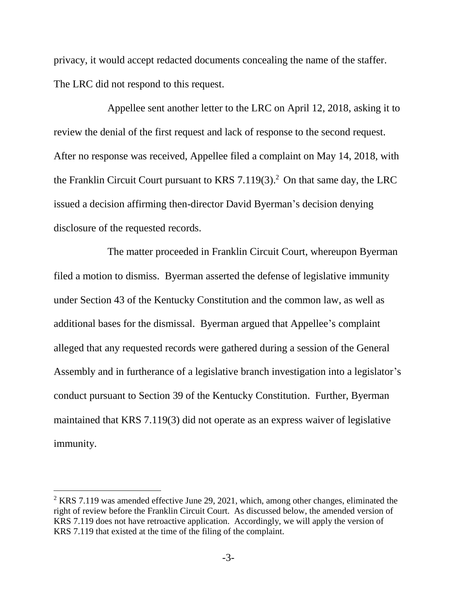privacy, it would accept redacted documents concealing the name of the staffer. The LRC did not respond to this request.

Appellee sent another letter to the LRC on April 12, 2018, asking it to review the denial of the first request and lack of response to the second request. After no response was received, Appellee filed a complaint on May 14, 2018, with the Franklin Circuit Court pursuant to KRS 7.119(3). <sup>2</sup> On that same day, the LRC issued a decision affirming then-director David Byerman's decision denying disclosure of the requested records.

The matter proceeded in Franklin Circuit Court, whereupon Byerman filed a motion to dismiss. Byerman asserted the defense of legislative immunity under Section 43 of the Kentucky Constitution and the common law, as well as additional bases for the dismissal. Byerman argued that Appellee's complaint alleged that any requested records were gathered during a session of the General Assembly and in furtherance of a legislative branch investigation into a legislator's conduct pursuant to Section 39 of the Kentucky Constitution. Further, Byerman maintained that KRS 7.119(3) did not operate as an express waiver of legislative immunity.

 $2$  KRS 7.119 was amended effective June 29, 2021, which, among other changes, eliminated the right of review before the Franklin Circuit Court. As discussed below, the amended version of KRS 7.119 does not have retroactive application. Accordingly, we will apply the version of KRS 7.119 that existed at the time of the filing of the complaint.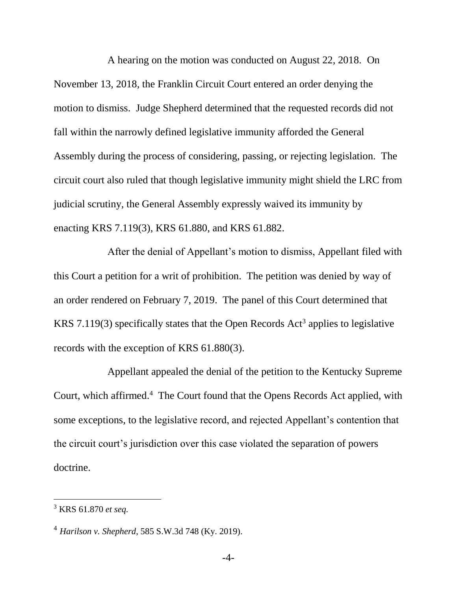A hearing on the motion was conducted on August 22, 2018. On November 13, 2018, the Franklin Circuit Court entered an order denying the motion to dismiss. Judge Shepherd determined that the requested records did not fall within the narrowly defined legislative immunity afforded the General Assembly during the process of considering, passing, or rejecting legislation. The circuit court also ruled that though legislative immunity might shield the LRC from judicial scrutiny, the General Assembly expressly waived its immunity by enacting KRS 7.119(3), KRS 61.880, and KRS 61.882.

After the denial of Appellant's motion to dismiss, Appellant filed with this Court a petition for a writ of prohibition. The petition was denied by way of an order rendered on February 7, 2019. The panel of this Court determined that KRS 7.119(3) specifically states that the Open Records  $Act<sup>3</sup>$  applies to legislative records with the exception of KRS 61.880(3).

Appellant appealed the denial of the petition to the Kentucky Supreme Court, which affirmed.<sup>4</sup> The Court found that the Opens Records Act applied, with some exceptions, to the legislative record, and rejected Appellant's contention that the circuit court's jurisdiction over this case violated the separation of powers doctrine.

<sup>3</sup> KRS 61.870 *et seq.*

<sup>4</sup> *Harilson v. Shepherd*, 585 S.W.3d 748 (Ky. 2019).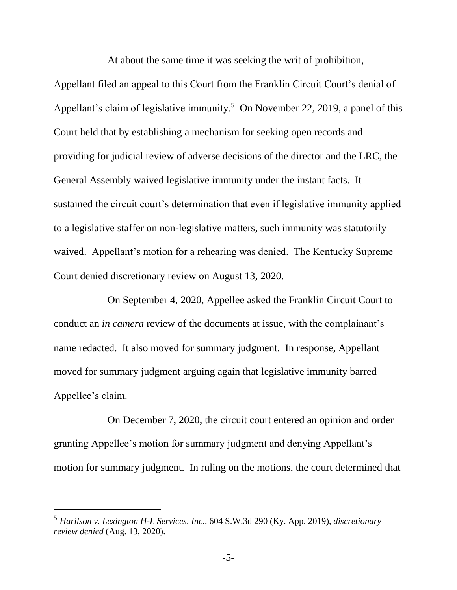At about the same time it was seeking the writ of prohibition,

Appellant filed an appeal to this Court from the Franklin Circuit Court's denial of Appellant's claim of legislative immunity.<sup>5</sup> On November 22, 2019, a panel of this Court held that by establishing a mechanism for seeking open records and providing for judicial review of adverse decisions of the director and the LRC, the General Assembly waived legislative immunity under the instant facts. It sustained the circuit court's determination that even if legislative immunity applied to a legislative staffer on non-legislative matters, such immunity was statutorily waived. Appellant's motion for a rehearing was denied. The Kentucky Supreme Court denied discretionary review on August 13, 2020.

On September 4, 2020, Appellee asked the Franklin Circuit Court to conduct an *in camera* review of the documents at issue, with the complainant's name redacted. It also moved for summary judgment. In response, Appellant moved for summary judgment arguing again that legislative immunity barred Appellee's claim.

On December 7, 2020, the circuit court entered an opinion and order granting Appellee's motion for summary judgment and denying Appellant's motion for summary judgment. In ruling on the motions, the court determined that

 $\overline{a}$ 

<sup>5</sup> *Harilson v. Lexington H-L Services, Inc.*, 604 S.W.3d 290 (Ky. App. 2019), *discretionary review denied* (Aug. 13, 2020).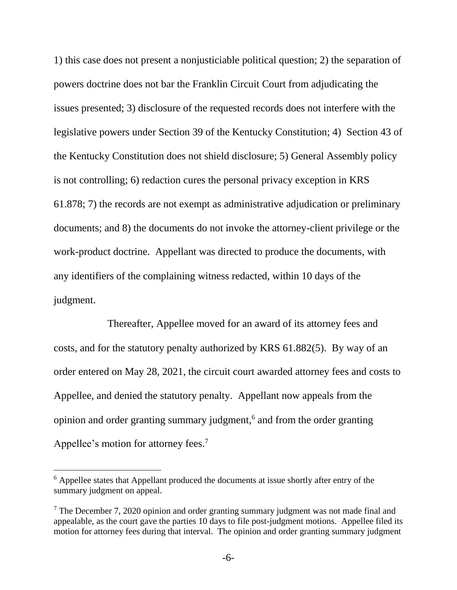1) this case does not present a nonjusticiable political question; 2) the separation of powers doctrine does not bar the Franklin Circuit Court from adjudicating the issues presented; 3) disclosure of the requested records does not interfere with the legislative powers under Section 39 of the Kentucky Constitution; 4) Section 43 of the Kentucky Constitution does not shield disclosure; 5) General Assembly policy is not controlling; 6) redaction cures the personal privacy exception in KRS 61.878; 7) the records are not exempt as administrative adjudication or preliminary documents; and 8) the documents do not invoke the attorney-client privilege or the work-product doctrine. Appellant was directed to produce the documents, with any identifiers of the complaining witness redacted, within 10 days of the judgment.

Thereafter, Appellee moved for an award of its attorney fees and costs, and for the statutory penalty authorized by KRS 61.882(5). By way of an order entered on May 28, 2021, the circuit court awarded attorney fees and costs to Appellee, and denied the statutory penalty. Appellant now appeals from the opinion and order granting summary judgment,<sup>6</sup> and from the order granting Appellee's motion for attorney fees.<sup>7</sup>

 $\overline{a}$ 

<sup>&</sup>lt;sup>6</sup> Appellee states that Appellant produced the documents at issue shortly after entry of the summary judgment on appeal.

 $<sup>7</sup>$  The December 7, 2020 opinion and order granting summary judgment was not made final and</sup> appealable, as the court gave the parties 10 days to file post-judgment motions. Appellee filed its motion for attorney fees during that interval. The opinion and order granting summary judgment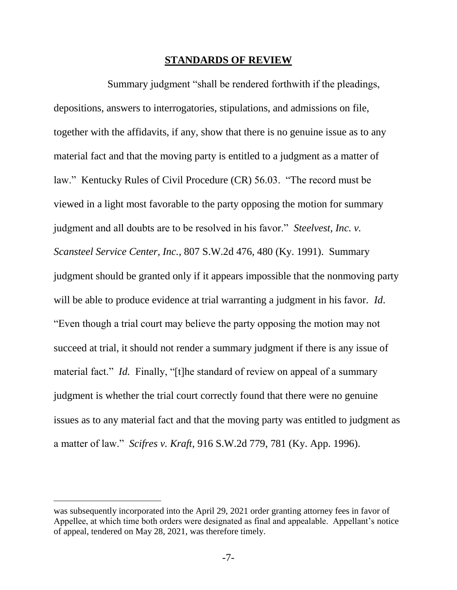#### **STANDARDS OF REVIEW**

Summary judgment "shall be rendered forthwith if the pleadings, depositions, answers to interrogatories, stipulations, and admissions on file, together with the affidavits, if any, show that there is no genuine issue as to any material fact and that the moving party is entitled to a judgment as a matter of law." Kentucky Rules of Civil Procedure (CR) 56.03. "The record must be viewed in a light most favorable to the party opposing the motion for summary judgment and all doubts are to be resolved in his favor." *Steelvest, Inc. v. Scansteel Service Center, Inc.*, 807 S.W.2d 476, 480 (Ky. 1991). Summary judgment should be granted only if it appears impossible that the nonmoving party will be able to produce evidence at trial warranting a judgment in his favor. *Id*. "Even though a trial court may believe the party opposing the motion may not succeed at trial, it should not render a summary judgment if there is any issue of material fact." *Id.* Finally, "[t]he standard of review on appeal of a summary judgment is whether the trial court correctly found that there were no genuine issues as to any material fact and that the moving party was entitled to judgment as a matter of law." *Scifres v. Kraft*, 916 S.W.2d 779, 781 (Ky. App. 1996).

was subsequently incorporated into the April 29, 2021 order granting attorney fees in favor of Appellee, at which time both orders were designated as final and appealable. Appellant's notice of appeal, tendered on May 28, 2021, was therefore timely.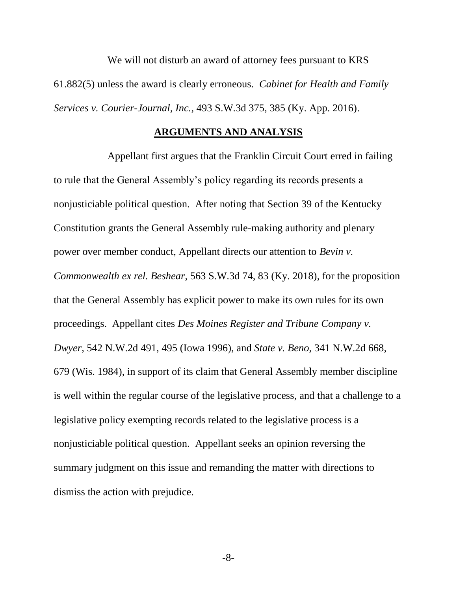We will not disturb an award of attorney fees pursuant to KRS 61.882(5) unless the award is clearly erroneous. *Cabinet for Health and Family Services v. Courier-Journal, Inc.*, 493 S.W.3d 375, 385 (Ky. App. 2016).

### **ARGUMENTS AND ANALYSIS**

Appellant first argues that the Franklin Circuit Court erred in failing to rule that the General Assembly's policy regarding its records presents a nonjusticiable political question. After noting that Section 39 of the Kentucky Constitution grants the General Assembly rule-making authority and plenary power over member conduct, Appellant directs our attention to *Bevin v. Commonwealth ex rel. Beshear*, 563 S.W.3d 74, 83 (Ky. 2018), for the proposition that the General Assembly has explicit power to make its own rules for its own proceedings. Appellant cites *Des Moines Register and Tribune Company v. Dwyer*, 542 N.W.2d 491, 495 (Iowa 1996), and *State v. Beno*, 341 N.W.2d 668, 679 (Wis. 1984), in support of its claim that General Assembly member discipline is well within the regular course of the legislative process, and that a challenge to a legislative policy exempting records related to the legislative process is a nonjusticiable political question. Appellant seeks an opinion reversing the summary judgment on this issue and remanding the matter with directions to dismiss the action with prejudice.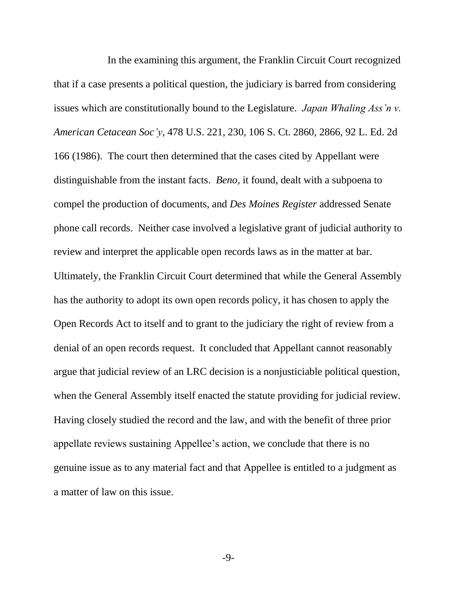In the examining this argument, the Franklin Circuit Court recognized that if a case presents a political question, the judiciary is barred from considering issues which are constitutionally bound to the Legislature. *Japan Whaling Ass'n v. American Cetacean Soc'y*, 478 U.S. 221, 230, 106 S. Ct. 2860, 2866, 92 L. Ed. 2d 166 (1986). The court then determined that the cases cited by Appellant were distinguishable from the instant facts. *Beno*, it found, dealt with a subpoena to compel the production of documents, and *Des Moines Register* addressed Senate phone call records. Neither case involved a legislative grant of judicial authority to review and interpret the applicable open records laws as in the matter at bar. Ultimately, the Franklin Circuit Court determined that while the General Assembly has the authority to adopt its own open records policy, it has chosen to apply the Open Records Act to itself and to grant to the judiciary the right of review from a denial of an open records request. It concluded that Appellant cannot reasonably argue that judicial review of an LRC decision is a nonjusticiable political question, when the General Assembly itself enacted the statute providing for judicial review. Having closely studied the record and the law, and with the benefit of three prior appellate reviews sustaining Appellee's action, we conclude that there is no genuine issue as to any material fact and that Appellee is entitled to a judgment as a matter of law on this issue.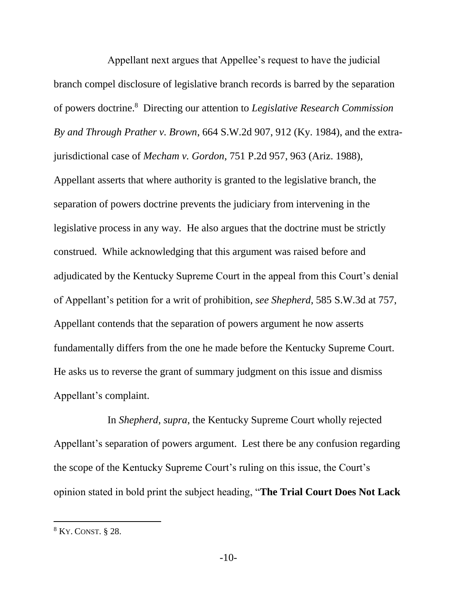Appellant next argues that Appellee's request to have the judicial branch compel disclosure of legislative branch records is barred by the separation of powers doctrine.<sup>8</sup> Directing our attention to *Legislative Research Commission By and Through Prather v. Brown*, 664 S.W.2d 907, 912 (Ky. 1984), and the extrajurisdictional case of *Mecham v. Gordon*, 751 P.2d 957, 963 (Ariz. 1988), Appellant asserts that where authority is granted to the legislative branch, the separation of powers doctrine prevents the judiciary from intervening in the legislative process in any way. He also argues that the doctrine must be strictly construed. While acknowledging that this argument was raised before and adjudicated by the Kentucky Supreme Court in the appeal from this Court's denial of Appellant's petition for a writ of prohibition, *see Shepherd*, 585 S.W.3d at 757, Appellant contends that the separation of powers argument he now asserts fundamentally differs from the one he made before the Kentucky Supreme Court. He asks us to reverse the grant of summary judgment on this issue and dismiss Appellant's complaint.

In *Shepherd*, *supra*, the Kentucky Supreme Court wholly rejected Appellant's separation of powers argument. Lest there be any confusion regarding the scope of the Kentucky Supreme Court's ruling on this issue, the Court's opinion stated in bold print the subject heading, "**The Trial Court Does Not Lack**

 $\overline{a}$ 

<sup>8</sup> KY. CONST. § 28.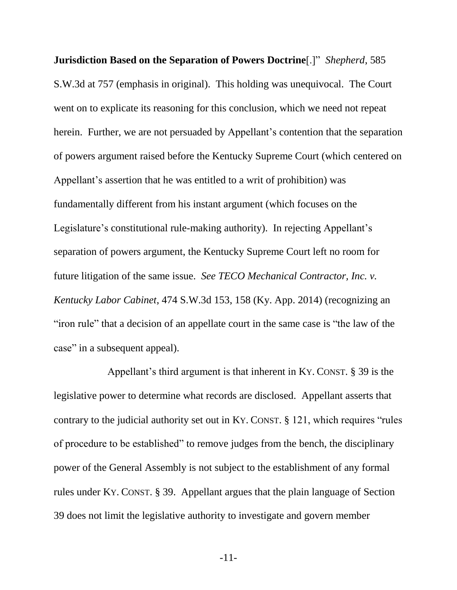**Jurisdiction Based on the Separation of Powers Doctrine**[.]"*Shepherd*, 585 S.W.3d at 757 (emphasis in original). This holding was unequivocal. The Court went on to explicate its reasoning for this conclusion, which we need not repeat herein. Further, we are not persuaded by Appellant's contention that the separation of powers argument raised before the Kentucky Supreme Court (which centered on Appellant's assertion that he was entitled to a writ of prohibition) was fundamentally different from his instant argument (which focuses on the Legislature's constitutional rule-making authority). In rejecting Appellant's separation of powers argument, the Kentucky Supreme Court left no room for future litigation of the same issue. *See TECO Mechanical Contractor, Inc. v. Kentucky Labor Cabinet*, 474 S.W.3d 153, 158 (Ky. App. 2014) (recognizing an "iron rule" that a decision of an appellate court in the same case is "the law of the case" in a subsequent appeal).

Appellant's third argument is that inherent in KY. CONST. § 39 is the legislative power to determine what records are disclosed. Appellant asserts that contrary to the judicial authority set out in KY. CONST. § 121, which requires "rules of procedure to be established" to remove judges from the bench, the disciplinary power of the General Assembly is not subject to the establishment of any formal rules under KY. CONST. § 39. Appellant argues that the plain language of Section 39 does not limit the legislative authority to investigate and govern member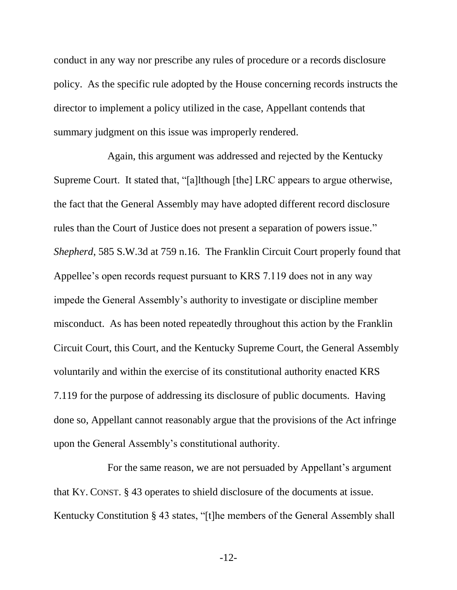conduct in any way nor prescribe any rules of procedure or a records disclosure policy. As the specific rule adopted by the House concerning records instructs the director to implement a policy utilized in the case, Appellant contends that summary judgment on this issue was improperly rendered.

Again, this argument was addressed and rejected by the Kentucky Supreme Court. It stated that, "[a]lthough [the] LRC appears to argue otherwise, the fact that the General Assembly may have adopted different record disclosure rules than the Court of Justice does not present a separation of powers issue." *Shepherd*, 585 S.W.3d at 759 n.16. The Franklin Circuit Court properly found that Appellee's open records request pursuant to KRS 7.119 does not in any way impede the General Assembly's authority to investigate or discipline member misconduct. As has been noted repeatedly throughout this action by the Franklin Circuit Court, this Court, and the Kentucky Supreme Court, the General Assembly voluntarily and within the exercise of its constitutional authority enacted KRS 7.119 for the purpose of addressing its disclosure of public documents. Having done so, Appellant cannot reasonably argue that the provisions of the Act infringe upon the General Assembly's constitutional authority.

For the same reason, we are not persuaded by Appellant's argument that KY. CONST. § 43 operates to shield disclosure of the documents at issue. Kentucky Constitution § 43 states, "[t]he members of the General Assembly shall

-12-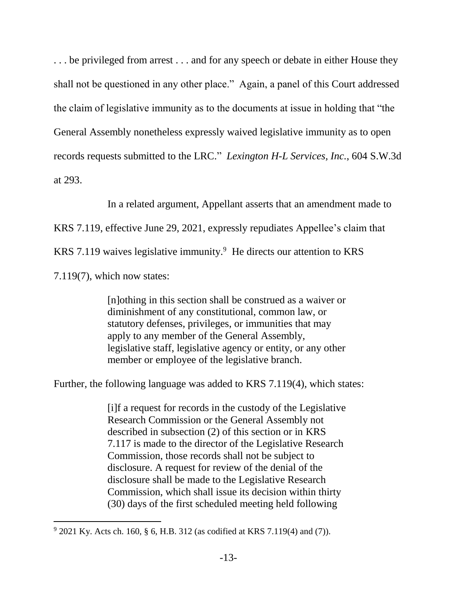... be privileged from arrest ... and for any speech or debate in either House they shall not be questioned in any other place." Again, a panel of this Court addressed the claim of legislative immunity as to the documents at issue in holding that "the General Assembly nonetheless expressly waived legislative immunity as to open records requests submitted to the LRC." *Lexington H-L Services, Inc.*, 604 S.W.3d at 293.

In a related argument, Appellant asserts that an amendment made to

KRS 7.119, effective June 29, 2021, expressly repudiates Appellee's claim that

KRS 7.119 waives legislative immunity. $9$  He directs our attention to KRS

7.119(7), which now states:

 $\overline{a}$ 

[n]othing in this section shall be construed as a waiver or diminishment of any constitutional, common law, or statutory defenses, privileges, or immunities that may apply to any member of the General Assembly, legislative staff, legislative agency or entity, or any other member or employee of the legislative branch.

Further, the following language was added to KRS 7.119(4), which states:

[i]f a request for records in the custody of the Legislative Research Commission or the General Assembly not described in subsection (2) of this section or in [KRS](https://1.next.westlaw.com/Link/Document/FullText?findType=L&pubNum=1000010&cite=KYSTS7.117&originatingDoc=ND5725901BCDC11EBA8DA90D3093981D0&refType=LQ&originationContext=document&transitionType=DocumentItem&ppcid=d113b28e835c44e6920cad9a5dc1074d&contextData=(sc.Search)) [7.117](https://1.next.westlaw.com/Link/Document/FullText?findType=L&pubNum=1000010&cite=KYSTS7.117&originatingDoc=ND5725901BCDC11EBA8DA90D3093981D0&refType=LQ&originationContext=document&transitionType=DocumentItem&ppcid=d113b28e835c44e6920cad9a5dc1074d&contextData=(sc.Search)) is made to the director of the Legislative Research Commission, those records shall not be subject to disclosure. A request for review of the denial of the disclosure shall be made to the Legislative Research Commission, which shall issue its decision within thirty (30) days of the first scheduled meeting held following

 $9^9$  2021 Ky. Acts ch. 160, § 6, H.B. 312 (as codified at KRS 7.119(4) and (7)).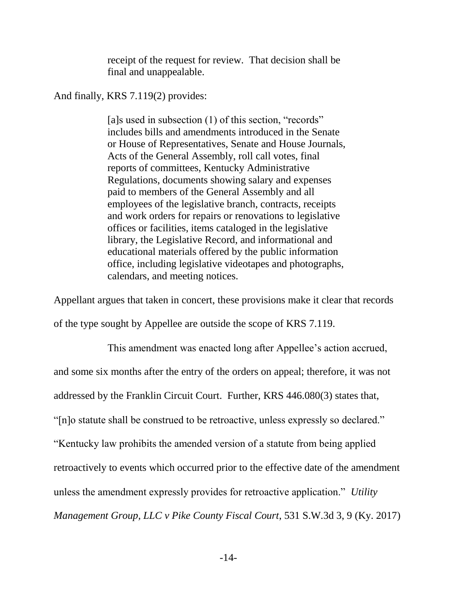receipt of the request for review. That decision shall be final and unappealable.

And finally, KRS 7.119(2) provides:

[a]s used in subsection (1) of this section, "records" includes bills and amendments introduced in the Senate or House of Representatives, Senate and House Journals, Acts of the General Assembly, roll call votes, final reports of committees, Kentucky Administrative Regulations, documents showing salary and expenses paid to members of the General Assembly and all employees of the legislative branch, contracts, receipts and work orders for repairs or renovations to legislative offices or facilities, items cataloged in the legislative library, the Legislative Record, and informational and educational materials offered by the public information office, including legislative videotapes and photographs, calendars, and meeting notices.

Appellant argues that taken in concert, these provisions make it clear that records of the type sought by Appellee are outside the scope of KRS 7.119.

This amendment was enacted long after Appellee's action accrued, and some six months after the entry of the orders on appeal; therefore, it was not addressed by the Franklin Circuit Court. Further, KRS 446.080(3) states that, "[n]o statute shall be construed to be retroactive, unless expressly so declared." "Kentucky law prohibits the amended version of a statute from being applied retroactively to events which occurred prior to the effective date of the amendment unless the amendment expressly provides for retroactive application." *Utility Management Group, LLC v Pike County Fiscal Court*, 531 S.W.3d 3, 9 (Ky. 2017)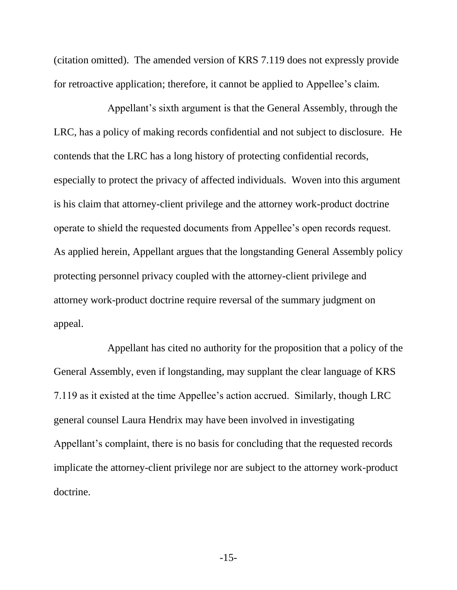(citation omitted). The amended version of KRS 7.119 does not expressly provide for retroactive application; therefore, it cannot be applied to Appellee's claim.

Appellant's sixth argument is that the General Assembly, through the LRC, has a policy of making records confidential and not subject to disclosure. He contends that the LRC has a long history of protecting confidential records, especially to protect the privacy of affected individuals. Woven into this argument is his claim that attorney-client privilege and the attorney work-product doctrine operate to shield the requested documents from Appellee's open records request. As applied herein, Appellant argues that the longstanding General Assembly policy protecting personnel privacy coupled with the attorney-client privilege and attorney work-product doctrine require reversal of the summary judgment on appeal.

Appellant has cited no authority for the proposition that a policy of the General Assembly, even if longstanding, may supplant the clear language of KRS 7.119 as it existed at the time Appellee's action accrued. Similarly, though LRC general counsel Laura Hendrix may have been involved in investigating Appellant's complaint, there is no basis for concluding that the requested records implicate the attorney-client privilege nor are subject to the attorney work-product doctrine.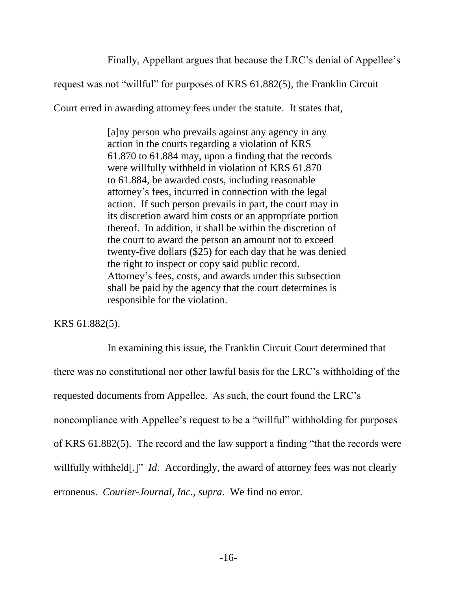Finally, Appellant argues that because the LRC's denial of Appellee's

request was not "willful" for purposes of KRS 61.882(5), the Franklin Circuit

Court erred in awarding attorney fees under the statute. It states that,

[a]ny person who prevails against any agency in any action in the courts regarding a violation of [KRS](https://1.next.westlaw.com/Link/Document/FullText?findType=L&pubNum=1000010&cite=KYSTS61.870&originatingDoc=NC2C89B60AA0B11DAB900D8B04EA81CAB&refType=LQ&originationContext=document&transitionType=DocumentItem&ppcid=c8a7cc153f6e4d0d828ed2880ea535ec&contextData=(sc.Default)) [61.870](https://1.next.westlaw.com/Link/Document/FullText?findType=L&pubNum=1000010&cite=KYSTS61.870&originatingDoc=NC2C89B60AA0B11DAB900D8B04EA81CAB&refType=LQ&originationContext=document&transitionType=DocumentItem&ppcid=c8a7cc153f6e4d0d828ed2880ea535ec&contextData=(sc.Default)) to [61.884](https://1.next.westlaw.com/Link/Document/FullText?findType=L&pubNum=1000010&cite=KYSTS61.884&originatingDoc=NC2C89B60AA0B11DAB900D8B04EA81CAB&refType=LQ&originationContext=document&transitionType=DocumentItem&ppcid=c8a7cc153f6e4d0d828ed2880ea535ec&contextData=(sc.Default)) may, upon a finding that the records were willfully withheld in violation of KRS [61.870](https://1.next.westlaw.com/Link/Document/FullText?findType=L&pubNum=1000010&cite=KYSTS61.870&originatingDoc=NC2C89B60AA0B11DAB900D8B04EA81CAB&refType=LQ&originationContext=document&transitionType=DocumentItem&ppcid=c8a7cc153f6e4d0d828ed2880ea535ec&contextData=(sc.Default)) to [61.884,](https://1.next.westlaw.com/Link/Document/FullText?findType=L&pubNum=1000010&cite=KYSTS61.884&originatingDoc=NC2C89B60AA0B11DAB900D8B04EA81CAB&refType=LQ&originationContext=document&transitionType=DocumentItem&ppcid=c8a7cc153f6e4d0d828ed2880ea535ec&contextData=(sc.Default)) be awarded costs, including reasonable attorney's fees, incurred in connection with the legal action. If such person prevails in part, the court may in its discretion award him costs or an appropriate portion thereof. In addition, it shall be within the discretion of the court to award the person an amount not to exceed twenty-five dollars (\$25) for each day that he was denied the right to inspect or copy said public record. Attorney's fees, costs, and awards under this subsection shall be paid by the agency that the court determines is responsible for the violation.

KRS 61.882(5).

In examining this issue, the Franklin Circuit Court determined that there was no constitutional nor other lawful basis for the LRC's withholding of the requested documents from Appellee. As such, the court found the LRC's noncompliance with Appellee's request to be a "willful" withholding for purposes of KRS 61.882(5). The record and the law support a finding "that the records were willfully withheld[.]" *Id.* Accordingly, the award of attorney fees was not clearly erroneous. *Courier-Journal, Inc.*, *supra*. We find no error.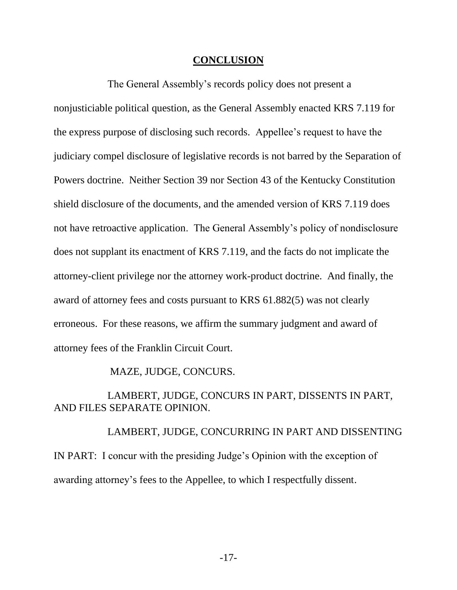#### **CONCLUSION**

The General Assembly's records policy does not present a nonjusticiable political question, as the General Assembly enacted KRS 7.119 for the express purpose of disclosing such records. Appellee's request to have the judiciary compel disclosure of legislative records is not barred by the Separation of Powers doctrine. Neither Section 39 nor Section 43 of the Kentucky Constitution shield disclosure of the documents, and the amended version of KRS 7.119 does not have retroactive application. The General Assembly's policy of nondisclosure does not supplant its enactment of KRS 7.119, and the facts do not implicate the attorney-client privilege nor the attorney work-product doctrine. And finally, the award of attorney fees and costs pursuant to KRS 61.882(5) was not clearly erroneous. For these reasons, we affirm the summary judgment and award of attorney fees of the Franklin Circuit Court.

MAZE, JUDGE, CONCURS.

LAMBERT, JUDGE, CONCURS IN PART, DISSENTS IN PART, AND FILES SEPARATE OPINION.

LAMBERT, JUDGE, CONCURRING IN PART AND DISSENTING IN PART: I concur with the presiding Judge's Opinion with the exception of awarding attorney's fees to the Appellee, to which I respectfully dissent.